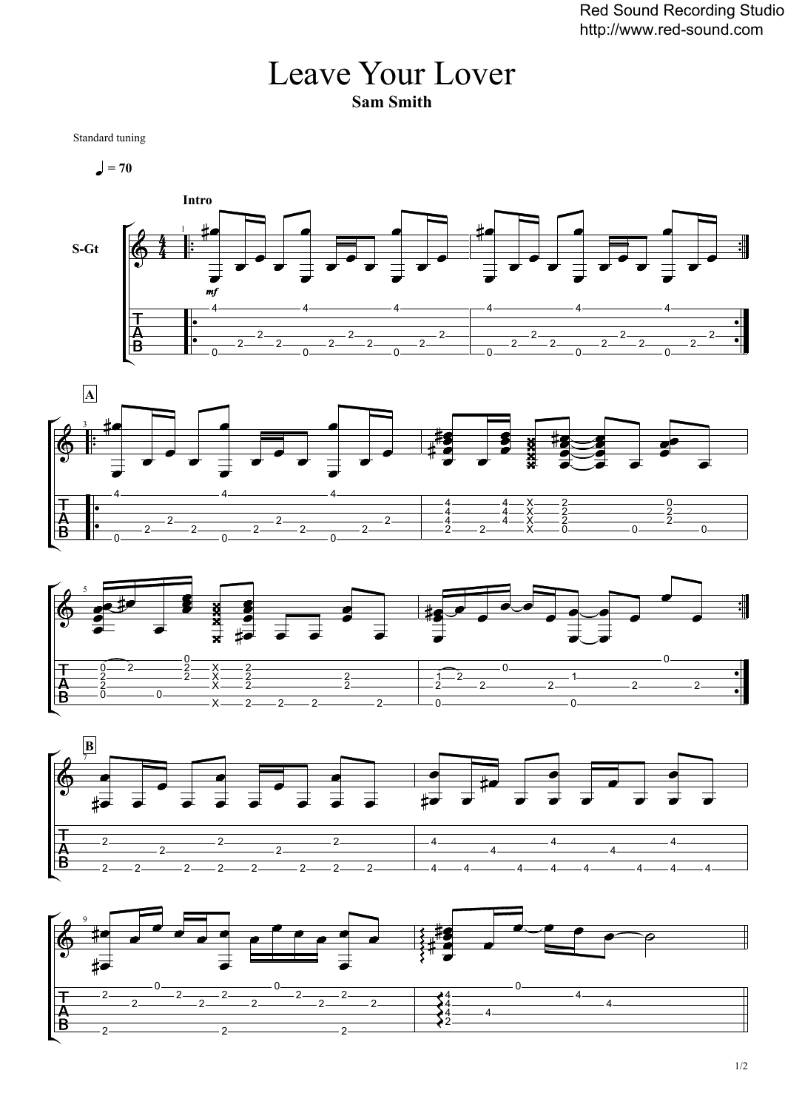## Leave Your Lover **Sam Smith**

Standard tuning

 $= 70$